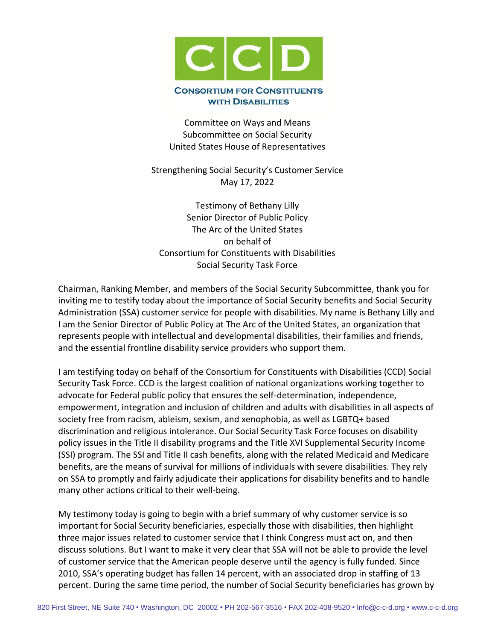

Committee on Ways and Means Subcommittee on Social Security United States House of Representatives

Strengthening Social Security's Customer Service May 17, 2022

Testimony of Bethany Lilly Senior Director of Public Policy The Arc of the United States on behalf of Consortium for Constituents with Disabilities Social Security Task Force

Chairman, Ranking Member, and members of the Social Security Subcommittee, thank you for inviting me to testify today about the importance of Social Security benefits and Social Security Administration (SSA) customer service for people with disabilities. My name is Bethany Lilly and I am the Senior Director of Public Policy at The Arc of the United States, an organization that represents people with intellectual and developmental disabilities, their families and friends, and the essential frontline disability service providers who support them.

I am testifying today on behalf of the Consortium for Constituents with Disabilities (CCD) Social Security Task Force. CCD is the largest coalition of national organizations working together to advocate for Federal public policy that ensures the self-determination, independence, empowerment, integration and inclusion of children and adults with disabilities in all aspects of society free from racism, ableism, sexism, and xenophobia, as well as LGBTQ+ based discrimination and religious intolerance. Our Social Security Task Force focuses on disability policy issues in the Title II disability programs and the Title XVI Supplemental Security Income (SSI) program. The SSI and Title II cash benefits, along with the related Medicaid and Medicare benefits, are the means of survival for millions of individuals with severe disabilities. They rely on SSA to promptly and fairly adjudicate their applications for disability benefits and to handle many other actions critical to their well-being.

My testimony today is going to begin with a brief summary of why customer service is so important for Social Security beneficiaries, especially those with disabilities, then highlight three major issues related to customer service that I think Congress must act on, and then discuss solutions. But I want to make it very clear that SSA will not be able to provide the level of customer service that the American people deserve until the agency is fully funded. Since 2010, SSA's operating budget has fallen 14 percent, with an associated drop in staffing of 13 percent. During the same time period, the number of Social Security beneficiaries has grown by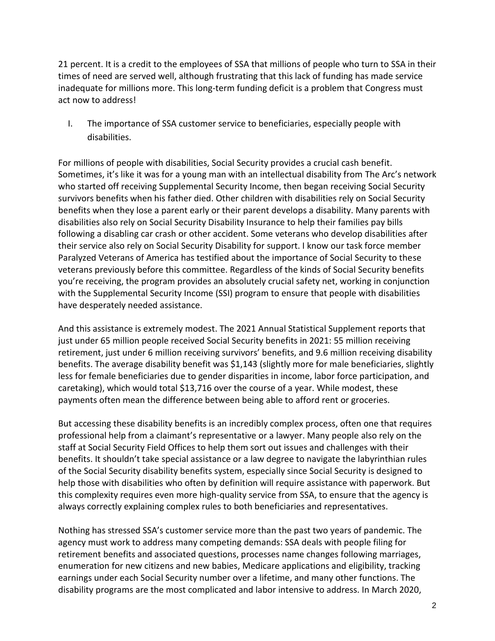21 percent. It is a credit to the employees of SSA that millions of people who turn to SSA in their times of need are served well, although frustrating that this lack of funding has made service inadequate for millions more. This long-term funding deficit is a problem that Congress must act now to address!

I. The importance of SSA customer service to beneficiaries, especially people with disabilities.

For millions of people with disabilities, Social Security provides a crucial cash benefit. Sometimes, it's like it was for a young man with an intellectual disability from The Arc's network who started off receiving Supplemental Security Income, then began receiving Social Security survivors benefits when his father died. Other children with disabilities rely on Social Security benefits when they lose a parent early or their parent develops a disability. Many parents with disabilities also rely on Social Security Disability Insurance to help their families pay bills following a disabling car crash or other accident. Some veterans who develop disabilities after their service also rely on Social Security Disability for support. I know our task force member Paralyzed Veterans of America has testified about the importance of Social Security to these veterans previously before this committee. Regardless of the kinds of Social Security benefits you're receiving, the program provides an absolutely crucial safety net, working in conjunction with the Supplemental Security Income (SSI) program to ensure that people with disabilities have desperately needed assistance.

And this assistance is extremely modest. The 2021 Annual Statistical Supplement reports that just under 65 million people received Social Security benefits in 2021: 55 million receiving retirement, just under 6 million receiving survivors' benefits, and 9.6 million receiving disability benefits. The average disability benefit was \$1,143 (slightly more for male beneficiaries, slightly less for female beneficiaries due to gender disparities in income, labor force participation, and caretaking), which would total \$13,716 over the course of a year. While modest, these payments often mean the difference between being able to afford rent or groceries.

But accessing these disability benefits is an incredibly complex process, often one that requires professional help from a claimant's representative or a lawyer. Many people also rely on the staff at Social Security Field Offices to help them sort out issues and challenges with their benefits. It shouldn't take special assistance or a law degree to navigate the labyrinthian rules of the Social Security disability benefits system, especially since Social Security is designed to help those with disabilities who often by definition will require assistance with paperwork. But this complexity requires even more high-quality service from SSA, to ensure that the agency is always correctly explaining complex rules to both beneficiaries and representatives.

Nothing has stressed SSA's customer service more than the past two years of pandemic. The agency must work to address many competing demands: SSA deals with people filing for retirement benefits and associated questions, processes name changes following marriages, enumeration for new citizens and new babies, Medicare applications and eligibility, tracking earnings under each Social Security number over a lifetime, and many other functions. The disability programs are the most complicated and labor intensive to address. In March 2020,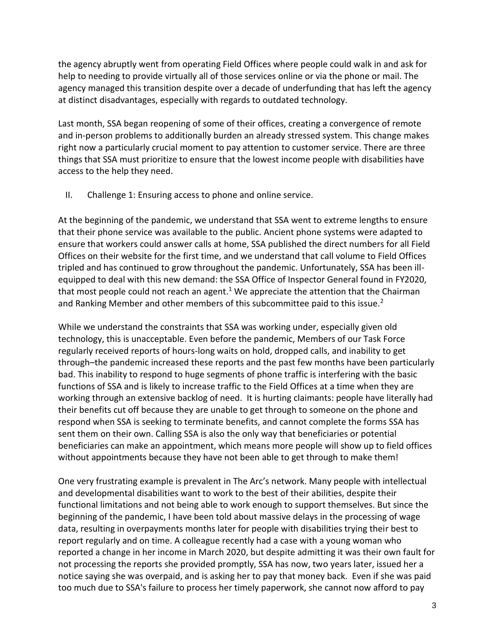the agency abruptly went from operating Field Offices where people could walk in and ask for help to needing to provide virtually all of those services online or via the phone or mail. The agency managed this transition despite over a decade of underfunding that has left the agency at distinct disadvantages, especially with regards to outdated technology.

Last month, SSA began reopening of some of their offices, creating a convergence of remote and in-person problems to additionally burden an already stressed system. This change makes right now a particularly crucial moment to pay attention to customer service. There are three things that SSA must prioritize to ensure that the lowest income people with disabilities have access to the help they need.

II. Challenge 1: Ensuring access to phone and online service.

At the beginning of the pandemic, we understand that SSA went to extreme lengths to ensure that their phone service was available to the public. Ancient phone systems were adapted to ensure that workers could answer calls at home, SSA published the direct numbers for all Field Offices on their website for the first time, and we understand that call volume to Field Offices tripled and has continued to grow throughout the pandemic. Unfortunately, SSA has been illequipped to deal with this new demand: the SSA Office of Inspector General found in FY2020, that most people could not reach an agent.<sup>1</sup> We appreciate the attention that the Chairman and Ranking Member and other members of this subcommittee paid to this issue.<sup>2</sup>

While we understand the constraints that SSA was working under, especially given old technology, this is unacceptable. Even before the pandemic, Members of our Task Force regularly received reports of hours-long waits on hold, dropped calls, and inability to get through–the pandemic increased these reports and the past few months have been particularly bad. This inability to respond to huge segments of phone traffic is interfering with the basic functions of SSA and is likely to increase traffic to the Field Offices at a time when they are working through an extensive backlog of need. It is hurting claimants: people have literally had their benefits cut off because they are unable to get through to someone on the phone and respond when SSA is seeking to terminate benefits, and cannot complete the forms SSA has sent them on their own. Calling SSA is also the only way that beneficiaries or potential beneficiaries can make an appointment, which means more people will show up to field offices without appointments because they have not been able to get through to make them!

One very frustrating example is prevalent in The Arc's network. Many people with intellectual and developmental disabilities want to work to the best of their abilities, despite their functional limitations and not being able to work enough to support themselves. But since the beginning of the pandemic, I have been told about massive delays in the processing of wage data, resulting in overpayments months later for people with disabilities trying their best to report regularly and on time. A colleague recently had a case with a young woman who reported a change in her income in March 2020, but despite admitting it was their own fault for not processing the reports she provided promptly, SSA has now, two years later, issued her a notice saying she was overpaid, and is asking her to pay that money back. Even if she was paid too much due to SSA's failure to process her timely paperwork, she cannot now afford to pay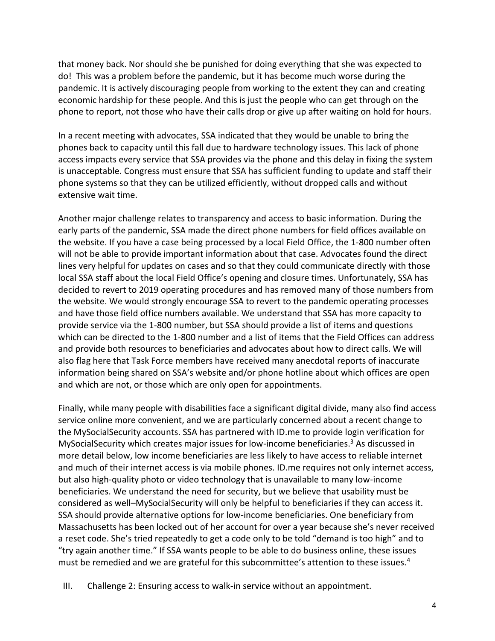that money back. Nor should she be punished for doing everything that she was expected to do! This was a problem before the pandemic, but it has become much worse during the pandemic. It is actively discouraging people from working to the extent they can and creating economic hardship for these people. And this is just the people who can get through on the phone to report, not those who have their calls drop or give up after waiting on hold for hours.

In a recent meeting with advocates, SSA indicated that they would be unable to bring the phones back to capacity until this fall due to hardware technology issues. This lack of phone access impacts every service that SSA provides via the phone and this delay in fixing the system is unacceptable. Congress must ensure that SSA has sufficient funding to update and staff their phone systems so that they can be utilized efficiently, without dropped calls and without extensive wait time.

Another major challenge relates to transparency and access to basic information. During the early parts of the pandemic, SSA made the direct phone numbers for field offices available on the website. If you have a case being processed by a local Field Office, the 1-800 number often will not be able to provide important information about that case. Advocates found the direct lines very helpful for updates on cases and so that they could communicate directly with those local SSA staff about the local Field Office's opening and closure times. Unfortunately, SSA has decided to revert to 2019 operating procedures and has removed many of those numbers from the website. We would strongly encourage SSA to revert to the pandemic operating processes and have those field office numbers available. We understand that SSA has more capacity to provide service via the 1-800 number, but SSA should provide a list of items and questions which can be directed to the 1-800 number and a list of items that the Field Offices can address and provide both resources to beneficiaries and advocates about how to direct calls. We will also flag here that Task Force members have received many anecdotal reports of inaccurate information being shared on SSA's website and/or phone hotline about which offices are open and which are not, or those which are only open for appointments.

Finally, while many people with disabilities face a significant digital divide, many also find access service online more convenient, and we are particularly concerned about a recent change to the MySocialSecurity accounts. SSA has partnered with ID.me to provide login verification for MySocialSecurity which creates major issues for low-income beneficiaries.<sup>3</sup> As discussed in more detail below, low income beneficiaries are less likely to have access to reliable internet and much of their internet access is via mobile phones. ID.me requires not only internet access, but also high-quality photo or video technology that is unavailable to many low-income beneficiaries. We understand the need for security, but we believe that usability must be considered as well–MySocialSecurity will only be helpful to beneficiaries if they can access it. SSA should provide alternative options for low-income beneficiaries. One beneficiary from Massachusetts has been locked out of her account for over a year because she's never received a reset code. She's tried repeatedly to get a code only to be told "demand is too high" and to "try again another time." If SSA wants people to be able to do business online, these issues must be remedied and we are grateful for this subcommittee's attention to these issues.<sup>4</sup>

III. Challenge 2: Ensuring access to walk-in service without an appointment.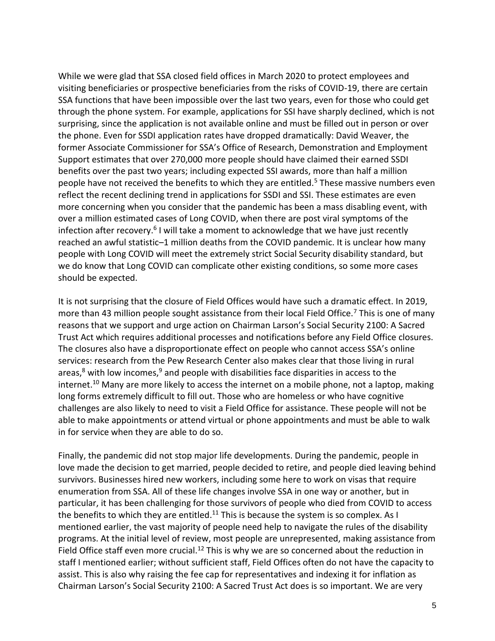While we were glad that SSA closed field offices in March 2020 to protect employees and visiting beneficiaries or prospective beneficiaries from the risks of COVID-19, there are certain SSA functions that have been impossible over the last two years, even for those who could get through the phone system. For example, applications for SSI have sharply declined, which is not surprising, since the application is not available online and must be filled out in person or over the phone. Even for SSDI application rates have dropped dramatically: David Weaver, the former Associate Commissioner for SSA's Office of Research, Demonstration and Employment Support estimates that over 270,000 more people should have claimed their earned SSDI benefits over the past two years; including expected SSI awards, more than half a million people have not received the benefits to which they are entitled.<sup>5</sup> These massive numbers even reflect the recent declining trend in applications for SSDI and SSI. These estimates are even more concerning when you consider that the pandemic has been a mass disabling event, with over a million estimated cases of Long COVID, when there are post viral symptoms of the infection after recovery.<sup>6</sup> I will take a moment to acknowledge that we have just recently reached an awful statistic–1 million deaths from the COVID pandemic. It is unclear how many people with Long COVID will meet the extremely strict Social Security disability standard, but we do know that Long COVID can complicate other existing conditions, so some more cases should be expected.

It is not surprising that the closure of Field Offices would have such a dramatic effect. In 2019, more than 43 million people sought assistance from their local Field Office.<sup>7</sup> This is one of many reasons that we support and urge action on Chairman Larson's Social Security 2100: A Sacred Trust Act which requires additional processes and notifications before any Field Office closures. The closures also have a disproportionate effect on people who cannot access SSA's online services: research from the Pew Research Center also makes clear that those living in rural areas, $8$  with low incomes, $9$  and people with disabilities face disparities in access to the internet.<sup>10</sup> Many are more likely to access the internet on a mobile phone, not a laptop, making long forms extremely difficult to fill out. Those who are homeless or who have cognitive challenges are also likely to need to visit a Field Office for assistance. These people will not be able to make appointments or attend virtual or phone appointments and must be able to walk in for service when they are able to do so.

Finally, the pandemic did not stop major life developments. During the pandemic, people in love made the decision to get married, people decided to retire, and people died leaving behind survivors. Businesses hired new workers, including some here to work on visas that require enumeration from SSA. All of these life changes involve SSA in one way or another, but in particular, it has been challenging for those survivors of people who died from COVID to access the benefits to which they are entitled.<sup>11</sup> This is because the system is so complex. As I mentioned earlier, the vast majority of people need help to navigate the rules of the disability programs. At the initial level of review, most people are unrepresented, making assistance from Field Office staff even more crucial.<sup>12</sup> This is why we are so concerned about the reduction in staff I mentioned earlier; without sufficient staff, Field Offices often do not have the capacity to assist. This is also why raising the fee cap for representatives and indexing it for inflation as Chairman Larson's Social Security 2100: A Sacred Trust Act does is so important. We are very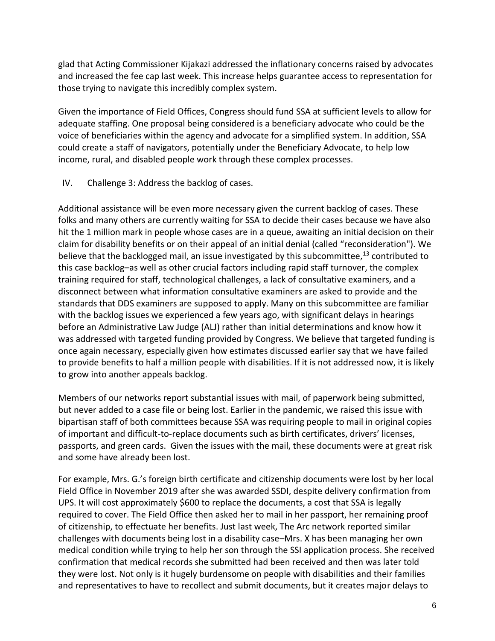glad that Acting Commissioner Kijakazi addressed the inflationary concerns raised by advocates and increased the fee cap last week. This increase helps guarantee access to representation for those trying to navigate this incredibly complex system.

Given the importance of Field Offices, Congress should fund SSA at sufficient levels to allow for adequate staffing. One proposal being considered is a beneficiary advocate who could be the voice of beneficiaries within the agency and advocate for a simplified system. In addition, SSA could create a staff of navigators, potentially under the Beneficiary Advocate, to help low income, rural, and disabled people work through these complex processes.

IV. Challenge 3: Address the backlog of cases.

Additional assistance will be even more necessary given the current backlog of cases. These folks and many others are currently waiting for SSA to decide their cases because we have also hit the 1 million mark in people whose cases are in a queue, awaiting an initial decision on their claim for disability benefits or on their appeal of an initial denial (called "reconsideration"). We believe that the backlogged mail, an issue investigated by this subcommittee,<sup>13</sup> contributed to this case backlog–as well as other crucial factors including rapid staff turnover, the complex training required for staff, technological challenges, a lack of consultative examiners, and a disconnect between what information consultative examiners are asked to provide and the standards that DDS examiners are supposed to apply. Many on this subcommittee are familiar with the backlog issues we experienced a few years ago, with significant delays in hearings before an Administrative Law Judge (ALJ) rather than initial determinations and know how it was addressed with targeted funding provided by Congress. We believe that targeted funding is once again necessary, especially given how estimates discussed earlier say that we have failed to provide benefits to half a million people with disabilities. If it is not addressed now, it is likely to grow into another appeals backlog.

Members of our networks report substantial issues with mail, of paperwork being submitted, but never added to a case file or being lost. Earlier in the pandemic, we raised this issue with bipartisan staff of both committees because SSA was requiring people to mail in original copies of important and difficult-to-replace documents such as birth certificates, drivers' licenses, passports, and green cards. Given the issues with the mail, these documents were at great risk and some have already been lost.

For example, Mrs. G.'s foreign birth certificate and citizenship documents were lost by her local Field Office in November 2019 after she was awarded SSDI, despite delivery confirmation from UPS. It will cost approximately \$600 to replace the documents, a cost that SSA is legally required to cover. The Field Office then asked her to mail in her passport, her remaining proof of citizenship, to effectuate her benefits. Just last week, The Arc network reported similar challenges with documents being lost in a disability case–Mrs. X has been managing her own medical condition while trying to help her son through the SSI application process. She received confirmation that medical records she submitted had been received and then was later told they were lost. Not only is it hugely burdensome on people with disabilities and their families and representatives to have to recollect and submit documents, but it creates major delays to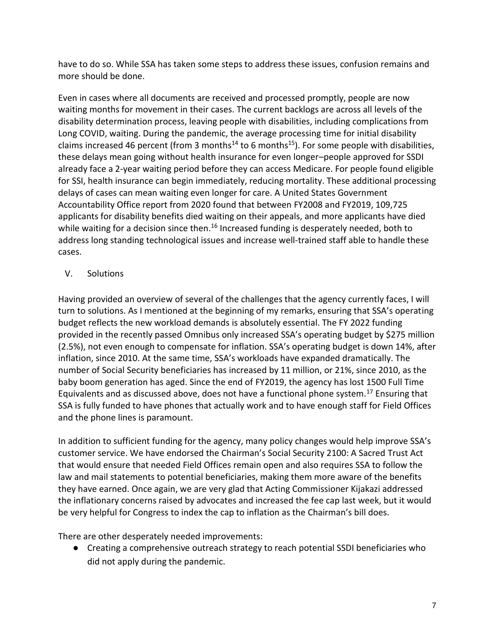have to do so. While SSA has taken some steps to address these issues, confusion remains and more should be done.

Even in cases where all documents are received and processed promptly, people are now waiting months for movement in their cases. The current backlogs are across all levels of the disability determination process, leaving people with disabilities, including complications from Long COVID, waiting. During the pandemic, the average processing time for initial disability claims increased 46 percent (from 3 months<sup>14</sup> to 6 months<sup>15</sup>). For some people with disabilities, these delays mean going without health insurance for even longer–people approved for SSDI already face a 2-year waiting period before they can access Medicare. For people found eligible for SSI, health insurance can begin immediately, reducing mortality. These additional processing delays of cases can mean waiting even longer for care. A United States Government Accountability Office report from 2020 found that between FY2008 and FY2019, 109,725 applicants for disability benefits died waiting on their appeals, and more applicants have died while waiting for a decision since then.<sup>16</sup> Increased funding is desperately needed, both to address long standing technological issues and increase well-trained staff able to handle these cases.

## V. Solutions

Having provided an overview of several of the challenges that the agency currently faces, I will turn to solutions. As I mentioned at the beginning of my remarks, ensuring that SSA's operating budget reflects the new workload demands is absolutely essential. The FY 2022 funding provided in the recently passed Omnibus only increased SSA's operating budget by \$275 million (2.5%), not even enough to compensate for inflation. SSA's operating budget is down 14%, after inflation, since 2010. At the same time, SSA's workloads have expanded dramatically. The number of Social Security beneficiaries has increased by 11 million, or 21%, since 2010, as the baby boom generation has aged. Since the end of FY2019, the agency has lost 1500 Full Time Equivalents and as discussed above, does not have a functional phone system.<sup>17</sup> Ensuring that SSA is fully funded to have phones that actually work and to have enough staff for Field Offices and the phone lines is paramount.

In addition to sufficient funding for the agency, many policy changes would help improve SSA's customer service. We have endorsed the Chairman's Social Security 2100: A Sacred Trust Act that would ensure that needed Field Offices remain open and also requires SSA to follow the law and mail statements to potential beneficiaries, making them more aware of the benefits they have earned. Once again, we are very glad that Acting Commissioner Kijakazi addressed the inflationary concerns raised by advocates and increased the fee cap last week, but it would be very helpful for Congress to index the cap to inflation as the Chairman's bill does.

There are other desperately needed improvements:

● Creating a comprehensive outreach strategy to reach potential SSDI beneficiaries who did not apply during the pandemic.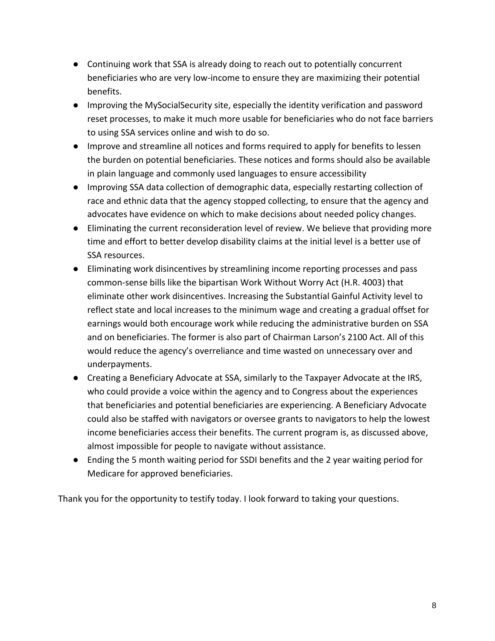- Continuing work that SSA is already doing to reach out to potentially concurrent beneficiaries who are very low-income to ensure they are maximizing their potential benefits.
- Improving the MySocialSecurity site, especially the identity verification and password reset processes, to make it much more usable for beneficiaries who do not face barriers to using SSA services online and wish to do so.
- Improve and streamline all notices and forms required to apply for benefits to lessen the burden on potential beneficiaries. These notices and forms should also be available in plain language and commonly used languages to ensure accessibility
- Improving SSA data collection of demographic data, especially restarting collection of race and ethnic data that the agency stopped collecting, to ensure that the agency and advocates have evidence on which to make decisions about needed policy changes.
- Eliminating the current reconsideration level of review. We believe that providing more time and effort to better develop disability claims at the initial level is a better use of SSA resources.
- Eliminating work disincentives by streamlining income reporting processes and pass common-sense bills like the bipartisan Work Without Worry Act (H.R. 4003) that eliminate other work disincentives. Increasing the Substantial Gainful Activity level to reflect state and local increases to the minimum wage and creating a gradual offset for earnings would both encourage work while reducing the administrative burden on SSA and on beneficiaries. The former is also part of Chairman Larson's 2100 Act. All of this would reduce the agency's overreliance and time wasted on unnecessary over and underpayments.
- Creating a Beneficiary Advocate at SSA, similarly to the Taxpayer Advocate at the IRS, who could provide a voice within the agency and to Congress about the experiences that beneficiaries and potential beneficiaries are experiencing. A Beneficiary Advocate could also be staffed with navigators or oversee grants to navigators to help the lowest income beneficiaries access their benefits. The current program is, as discussed above, almost impossible for people to navigate without assistance.
- Ending the 5 month waiting period for SSDI benefits and the 2 year waiting period for Medicare for approved beneficiaries.

Thank you for the opportunity to testify today. I look forward to taking your questions.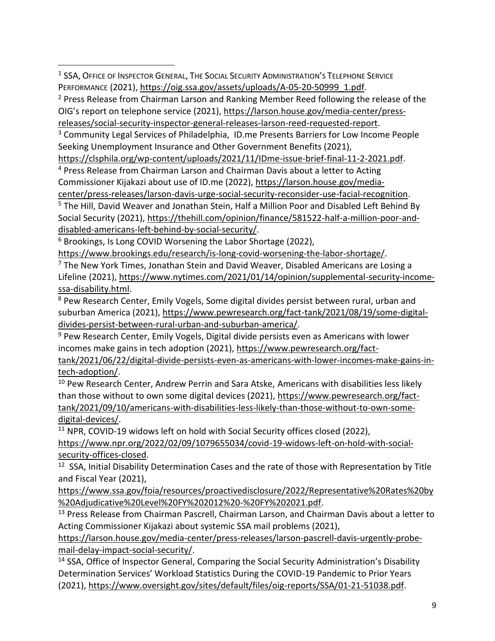<sup>1</sup> SSA, OFFICE OF INSPECTOR GENERAL, THE SOCIAL SECURITY ADMINISTRATION'S TELEPHONE SERVICE PERFORMANCE (2021), [https://oig.ssa.gov/assets/uploads/A-05-20-50999\\_1.pdf.](https://oig.ssa.gov/assets/uploads/A-05-20-50999_1.pdf)

<sup>2</sup> Press Release from Chairman Larson and Ranking Member Reed following the release of the OIG's report on telephone service (2021), [https://larson.house.gov/media-center/press](https://larson.house.gov/media-center/press-releases/social-security-inspector-general-releases-larson-reed-requested-report)[releases/social-security-inspector-general-releases-larson-reed-requested-report.](https://larson.house.gov/media-center/press-releases/social-security-inspector-general-releases-larson-reed-requested-report)

<sup>3</sup> Community Legal Services of Philadelphia, ID.me Presents Barriers for Low Income People Seeking Unemployment Insurance and Other Government Benefits (2021),

[https://clsphila.org/wp-content/uploads/2021/11/IDme-issue-brief-final-11-2-2021.pdf.](https://clsphila.org/wp-content/uploads/2021/11/IDme-issue-brief-final-11-2-2021.pdf)

<sup>4</sup> Press Release from Chairman Larson and Chairman Davis about a letter to Acting Commissioner Kijakazi about use of ID.me (2022), [https://larson.house.gov/media](https://larson.house.gov/media-center/press-releases/larson-davis-urge-social-security-reconsider-use-facial-recognition)[center/press-releases/larson-davis-urge-social-security-reconsider-use-facial-recognition.](https://larson.house.gov/media-center/press-releases/larson-davis-urge-social-security-reconsider-use-facial-recognition)

<sup>5</sup> The Hill, David Weaver and Jonathan Stein, Half a Million Poor and Disabled Left Behind By Social Security (2021), [https://thehill.com/opinion/finance/581522-half-a-million-poor-and](https://thehill.com/opinion/finance/581522-half-a-million-poor-and-disabled-americans-left-behind-by-social-security/)[disabled-americans-left-behind-by-social-security/.](https://thehill.com/opinion/finance/581522-half-a-million-poor-and-disabled-americans-left-behind-by-social-security/)

<sup>6</sup> Brookings, Is Long COVID Worsening the Labor Shortage (2022),

[https://www.brookings.edu/research/is-long-covid-worsening-the-labor-shortage/.](https://www.brookings.edu/research/is-long-covid-worsening-the-labor-shortage/)

<sup>7</sup> The New York Times, Jonathan Stein and David Weaver, Disabled Americans are Losing a Lifeline (2021), [https://www.nytimes.com/2021/01/14/opinion/supplemental-security-income](https://www.nytimes.com/2021/01/14/opinion/supplemental-security-income-ssa-disability.html)[ssa-disability.html.](https://www.nytimes.com/2021/01/14/opinion/supplemental-security-income-ssa-disability.html)

<sup>8</sup> Pew Research Center, Emily Vogels, Some digital divides persist between rural, urban and suburban America (2021), [https://www.pewresearch.org/fact-tank/2021/08/19/some-digital](https://www.pewresearch.org/fact-tank/2021/08/19/some-digital-divides-persist-between-rural-urban-and-suburban-america/)[divides-persist-between-rural-urban-and-suburban-america/.](https://www.pewresearch.org/fact-tank/2021/08/19/some-digital-divides-persist-between-rural-urban-and-suburban-america/)

<sup>9</sup> Pew Research Center, Emily Vogels, Digital divide persists even as Americans with lower incomes make gains in tech adoption (2021)[, https://www.pewresearch.org/fact-](https://www.pewresearch.org/fact-tank/2021/06/22/digital-divide-persists-even-as-americans-with-lower-incomes-make-gains-in-tech-adoption/)

[tank/2021/06/22/digital-divide-persists-even-as-americans-with-lower-incomes-make-gains-in](https://www.pewresearch.org/fact-tank/2021/06/22/digital-divide-persists-even-as-americans-with-lower-incomes-make-gains-in-tech-adoption/)[tech-adoption/.](https://www.pewresearch.org/fact-tank/2021/06/22/digital-divide-persists-even-as-americans-with-lower-incomes-make-gains-in-tech-adoption/)

<sup>10</sup> Pew Research Center, Andrew Perrin and Sara Atske, Americans with disabilities less likely than those without to own some digital devices (2021), [https://www.pewresearch.org/fact](https://www.pewresearch.org/fact-tank/2021/09/10/americans-with-disabilities-less-likely-than-those-without-to-own-some-digital-devices/)[tank/2021/09/10/americans-with-disabilities-less-likely-than-those-without-to-own-some](https://www.pewresearch.org/fact-tank/2021/09/10/americans-with-disabilities-less-likely-than-those-without-to-own-some-digital-devices/)[digital-devices/.](https://www.pewresearch.org/fact-tank/2021/09/10/americans-with-disabilities-less-likely-than-those-without-to-own-some-digital-devices/)

<sup>11</sup> NPR, COVID-19 widows left on hold with Social Security offices closed (2022),

[https://www.npr.org/2022/02/09/1079655034/covid-19-widows-left-on-hold-with-social](https://www.npr.org/2022/02/09/1079655034/covid-19-widows-left-on-hold-with-social-security-offices-closed)[security-offices-closed.](https://www.npr.org/2022/02/09/1079655034/covid-19-widows-left-on-hold-with-social-security-offices-closed)

<sup>12</sup> SSA, Initial Disability Determination Cases and the rate of those with Representation by Title and Fiscal Year (2021),

[https://www.ssa.gov/foia/resources/proactivedisclosure/2022/Representative%20Rates%20by](https://www.ssa.gov/foia/resources/proactivedisclosure/2022/Representative%20Rates%20by%20Adjudicative%20Level%20FY%202012%20-%20FY%202021.pdf) [%20Adjudicative%20Level%20FY%202012%20-%20FY%202021.pdf.](https://www.ssa.gov/foia/resources/proactivedisclosure/2022/Representative%20Rates%20by%20Adjudicative%20Level%20FY%202012%20-%20FY%202021.pdf)

<sup>13</sup> Press Release from Chairman Pascrell, Chairman Larson, and Chairman Davis about a letter to Acting Commissioner Kijakazi about systemic SSA mail problems (2021),

[https://larson.house.gov/media-center/press-releases/larson-pascrell-davis-urgently-probe](https://larson.house.gov/media-center/press-releases/larson-pascrell-davis-urgently-probe-mail-delay-impact-social-security/)[mail-delay-impact-social-security/.](https://larson.house.gov/media-center/press-releases/larson-pascrell-davis-urgently-probe-mail-delay-impact-social-security/)

<sup>14</sup> SSA, Office of Inspector General, Comparing the Social Security Administration's Disability Determination Services' Workload Statistics During the COVID-19 Pandemic to Prior Years (2021), [https://www.oversight.gov/sites/default/files/oig-reports/SSA/01-21-51038.pdf.](https://www.oversight.gov/sites/default/files/oig-reports/SSA/01-21-51038.pdf)